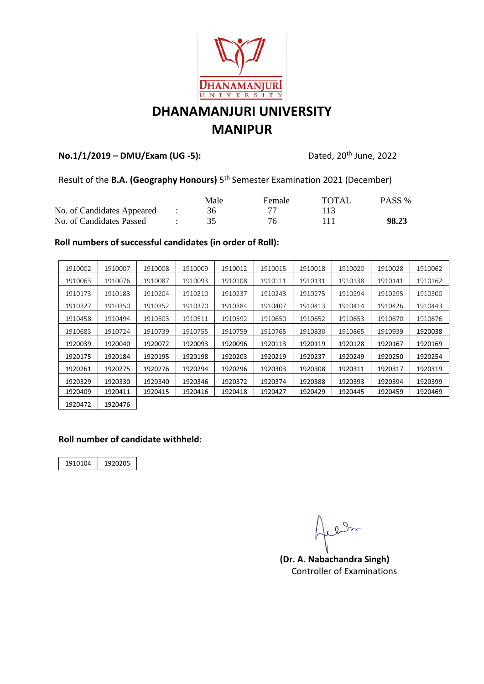

# **DHANAMANJURI UNIVERSITY MANIPUR**

#### **No.1/1/2019 - DMU/Exam (UG -5):**

Dated, 20<sup>th</sup> June, 2022

Result of the **B.A. (Geography Honours)** 5<sup>th</sup> Semester Examination 2021 (December)

|                            |               | Male | Female | TOTAL | PASS % |
|----------------------------|---------------|------|--------|-------|--------|
| No. of Candidates Appeared | and the state |      |        |       |        |
| No. of Candidates Passed   |               |      | 76.    |       | 98.23  |

#### **Roll numbers of successful candidates (in order of Roll):**

| 1910002 | 1910007 | 1910008 | 1910009 | 1910012 | 1910015 | 1910018 | 1910020 | 1910028 | 1910062 |
|---------|---------|---------|---------|---------|---------|---------|---------|---------|---------|
| 1910063 | 1910076 | 1910087 | 1910093 | 1910108 | 1910111 | 1910131 | 1910138 | 1910141 | 1910162 |
| 1910173 | 1910183 | 1910204 | 1910210 | 1910237 | 1910243 | 1910275 | 1910294 | 1910295 | 1910300 |
| 1910327 | 1910350 | 1910352 | 1910370 | 1910384 | 1910407 | 1910413 | 1910414 | 1910426 | 1910443 |
| 1910458 | 1910494 | 1910503 | 1910511 | 1910592 | 1910650 | 1910652 | 1910653 | 1910670 | 1910676 |
| 1910683 | 1910724 | 1910739 | 1910755 | 1910759 | 1910765 | 1910830 | 1910865 | 1910939 | 1920038 |
| 1920039 | 1920040 | 1920072 | 1920093 | 1920096 | 1920113 | 1920119 | 1920128 | 1920167 | 1920169 |
| 1920175 | 1920184 | 1920195 | 1920198 | 1920203 | 1920219 | 1920237 | 1920249 | 1920250 | 1920254 |
| 1920261 | 1920275 | 1920276 | 1920294 | 1920296 | 1920303 | 1920308 | 1920311 | 1920317 | 1920319 |
| 1920329 | 1920330 | 1920340 | 1920346 | 1920372 | 1920374 | 1920388 | 1920393 | 1920394 | 1920399 |
| 1920409 | 1920411 | 1920415 | 1920416 | 1920418 | 1920427 | 1920429 | 1920445 | 1920459 | 1920469 |
| 1920472 | 1920476 |         |         |         |         |         |         |         |         |

#### **Roll number of candidate withheld:**

1910104 1920205

alle

**(Dr. A. Nabachandra Singh)** Controller of Examinations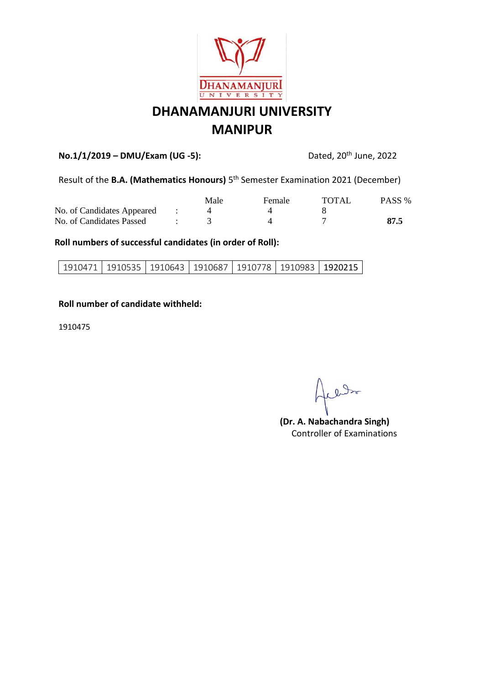

# **DHANAMANJURI UNIVERSITY MANIPUR**

### **No.1/1/2019 – DMU/Exam (UG -5):** Dated, 20th June, 2022

Result of the **B.A. (Mathematics Honours)** 5<sup>th</sup> Semester Examination 2021 (December)

|                            | Male | <b>Female</b> | TOTAL | PASS % |
|----------------------------|------|---------------|-------|--------|
| No. of Candidates Appeared |      |               |       |        |
| No. of Candidates Passed   |      |               |       | 87.5   |

#### **Roll numbers of successful candidates (in order of Roll):**

#### **Roll number of candidate withheld:**

1910475

plato

**(Dr. A. Nabachandra Singh)** Controller of Examinations